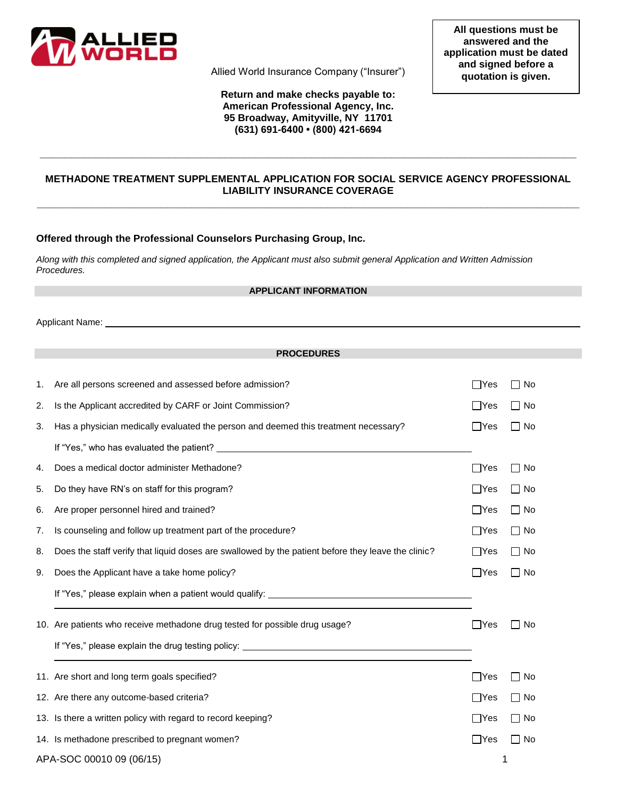

Allied World Insurance Company ("Insurer")

### **Return and make checks payable to: American Professional Agency, Inc. 95 Broadway, Amityville, NY 11701 (631) 691-6400 • (800) 421-6694**

# **METHADONE TREATMENT SUPPLEMENTAL APPLICATION FOR SOCIAL SERVICE AGENCY PROFESSIONAL LIABILITY INSURANCE COVERAGE \_\_\_\_\_\_\_\_\_\_\_\_\_\_\_\_\_\_\_\_\_\_\_\_\_\_\_\_\_\_\_\_\_\_\_\_\_\_\_\_\_\_\_\_\_\_\_\_\_\_\_\_\_\_\_\_\_\_\_\_\_\_\_\_\_\_\_\_\_\_\_\_\_\_\_\_\_\_\_\_\_\_\_\_\_\_\_\_**

**\_\_\_\_\_\_\_\_\_\_\_\_\_\_\_\_\_\_\_\_\_\_\_\_\_\_\_\_\_\_\_\_\_\_\_\_\_\_\_\_\_\_\_\_\_\_\_\_\_\_\_\_\_\_\_\_\_\_\_\_\_\_\_\_\_\_\_\_\_\_\_\_\_\_\_\_\_\_\_\_\_\_\_\_\_\_\_**

## **Offered through the Professional Counselors Purchasing Group, Inc.**

*Along with this completed and signed application, the Applicant must also submit general Application and Written Admission Procedures.*

#### **APPLICANT INFORMATION**

Applicant Name:

#### **PROCEDURES**

| 1.                       | Are all persons screened and assessed before admission?                                            | $\Box$ Yes | □ No      |
|--------------------------|----------------------------------------------------------------------------------------------------|------------|-----------|
| 2.                       | Is the Applicant accredited by CARF or Joint Commission?                                           | $\Box$ Yes | $\Box$ No |
| 3.                       | Has a physician medically evaluated the person and deemed this treatment necessary?                | $\Box$ Yes | $\Box$ No |
|                          |                                                                                                    |            |           |
| 4.                       | Does a medical doctor administer Methadone?                                                        | $\Box$ Yes | $\Box$ No |
| 5.                       | Do they have RN's on staff for this program?                                                       | $\Box$ Yes | $\Box$ No |
| 6.                       | Are proper personnel hired and trained?                                                            | $\Box$ Yes | $\Box$ No |
| 7.                       | Is counseling and follow up treatment part of the procedure?                                       | $\Box$ Yes | $\Box$ No |
| 8.                       | Does the staff verify that liquid doses are swallowed by the patient before they leave the clinic? | $\Box$ Yes | ∏ No      |
| 9.                       | Does the Applicant have a take home policy?                                                        | $\Box$ Yes | $\Box$ No |
|                          | If "Yes," please explain when a patient would qualify: _________________________                   |            |           |
|                          | 10. Are patients who receive methadone drug tested for possible drug usage?                        | ∏Yes       | No        |
|                          |                                                                                                    |            |           |
|                          | 11. Are short and long term goals specified?                                                       | $\Box$ Yes | ∩ No      |
|                          | 12. Are there any outcome-based criteria?                                                          | $\Box$ Yes | No        |
|                          | 13. Is there a written policy with regard to record keeping?                                       | Yes        | No        |
|                          | 14. Is methadone prescribed to pregnant women?                                                     | $\Box$ Yes | No        |
| APA-SOC 00010 09 (06/15) |                                                                                                    | 1          |           |